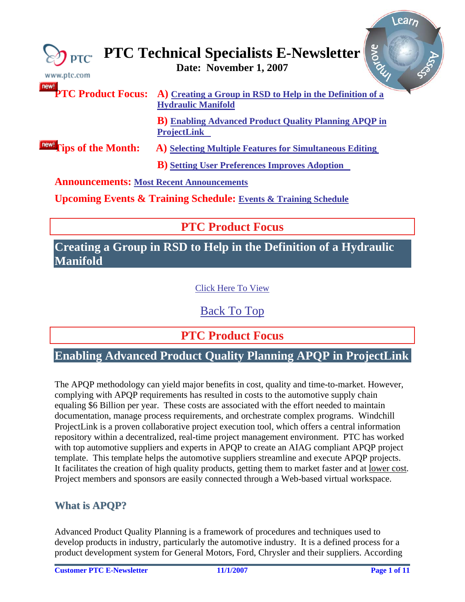<span id="page-0-0"></span>

| $\overline{)$ ptc<br>www.ptc.com                | arone<br><b>PTC Technical Specialists E-Newsletter</b><br>Date: November 1, 2007                                 |
|-------------------------------------------------|------------------------------------------------------------------------------------------------------------------|
|                                                 | <b>PTC Product Focus:</b> A) Creating a Group in RSD to Help in the Definition of a<br><b>Hydraulic Manifold</b> |
|                                                 | <b>B</b> ) Enabling Advanced Product Quality Planning APQP in<br><b>ProjectLink</b>                              |
| <b>Tips of the Month:</b>                       | A) Selecting Multiple Features for Simultaneous Editing                                                          |
|                                                 | <b>B</b> ) Setting User Preferences Improves Adoption                                                            |
| <b>Announcements: Most Recent Announcements</b> |                                                                                                                  |
|                                                 | <b>Upcoming Events &amp; Training Schedule: Events &amp; Training Schedule</b>                                   |

# **PTC Product Focus**

## **Creating a Group in RSD to Help in the Definition of a Hydraulic Manifold**

### [Click Here To View](http://members.shaw.ca/jpeng/newsletter/PTC_Technical_Specialists_E-Newsletter_11-01-2007_desktop.pdf)

[Back To Top](#page-0-0)

**PTC Product Focus** 

## **Enabling Advanced Product Quality Planning APQP in ProjectLink**

The APQP methodology can yield major benefits in cost, quality and time-to-market. However, complying with APQP requirements has resulted in costs to the automotive supply chain equaling \$6 Billion per year. These costs are associated with the effort needed to maintain documentation, manage process requirements, and orchestrate complex programs. Windchill ProjectLink is a proven collaborative project execution tool, which offers a central information repository within a decentralized, real-time project management environment. PTC has worked with top automotive suppliers and experts in APQP to create an AIAG compliant APQP project template. This template helps the automotive suppliers streamline and execute APQP projects. It facilitates the creation of high quality products, getting them to market faster and at lower cost. Project members and sponsors are easily connected through a Web-based virtual workspace.

## **What is APQP?**

Advanced Product Quality Planning is a framework of procedures and techniques used to develop products in industry, particularly the automotive industry. It is a defined process for a product development system for General Motors, Ford, Chrysler and their suppliers. According

**Sear**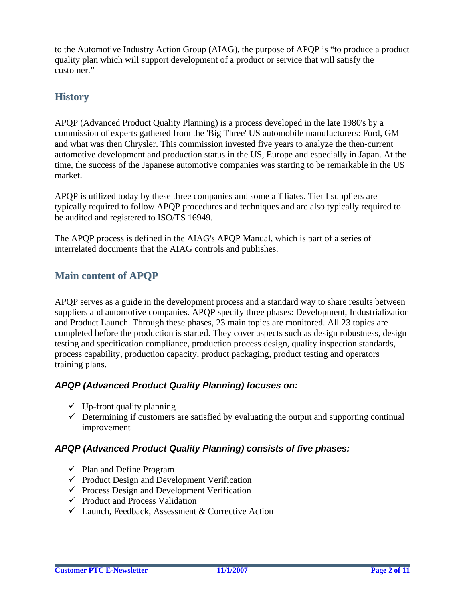to the Automotive Industry Action Group (AIAG), the purpose of APQP is "to produce a product quality plan which will support development of a product or service that will satisfy the customer."

## **History**

APQP (Advanced Product Quality Planning) is a process developed in the late 1980's by a commission of experts gathered from the 'Big Three' US automobile manufacturers: Ford, GM and what was then Chrysler. This commission invested five years to analyze the then-current automotive development and production status in the US, Europe and especially in Japan. At the time, the success of the Japanese automotive companies was starting to be remarkable in the US market.

APQP is utilized today by these three companies and some affiliates. Tier I suppliers are typically required to follow APQP procedures and techniques and are also typically required to be audited and registered to ISO/TS 16949.

The APQP process is defined in the AIAG's APQP Manual, which is part of a series of interrelated documents that the AIAG controls and publishes.

## **Main content of APQP**

APQP serves as a guide in the development process and a standard way to share results between suppliers and automotive companies. APQP specify three phases: Development, Industrialization and Product Launch. Through these phases, 23 main topics are monitored. All 23 topics are completed before the production is started. They cover aspects such as design robustness, design testing and specification compliance, production process design, quality inspection standards, process capability, production capacity, product packaging, product testing and operators training plans.

### *APQP (Advanced Product Quality Planning) focuses on:*

- $\checkmark$  Up-front quality planning
- $\checkmark$  Determining if customers are satisfied by evaluating the output and supporting continual improvement

### *APQP (Advanced Product Quality Planning) consists of five phases:*

- $\checkmark$  Plan and Define Program
- $\checkmark$  Product Design and Development Verification
- $\checkmark$  Process Design and Development Verification
- $\checkmark$  Product and Process Validation
- $\checkmark$  Launch, Feedback, Assessment & Corrective Action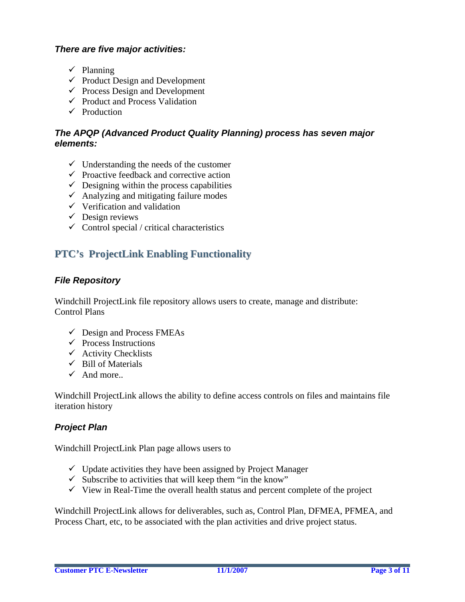### *There are five major activities:*

- $\checkmark$  Planning
- $\checkmark$  Product Design and Development
- $\checkmark$  Process Design and Development
- $\checkmark$  Product and Process Validation
- $\checkmark$  Production

### *The APQP (Advanced Product Quality Planning) process has seven major elements:*

- $\checkmark$  Understanding the needs of the customer
- $\checkmark$  Proactive feedback and corrective action
- $\checkmark$  Designing within the process capabilities
- $\checkmark$  Analyzing and mitigating failure modes
- $\checkmark$  Verification and validation
- $\checkmark$  Design reviews
- $\checkmark$  Control special / critical characteristics

## **PTC's ProjectLink Enabling Functionality**

### *File Repository*

Windchill ProjectLink file repository allows users to create, manage and distribute: Control Plans

- $\checkmark$  Design and Process FMEAs
- $\checkmark$  Process Instructions
- $\checkmark$  Activity Checklists
- $\checkmark$  Bill of Materials
- $\checkmark$  And more...

Windchill ProjectLink allows the ability to define access controls on files and maintains file iteration history

### *Project Plan*

Windchill ProjectLink Plan page allows users to

- $\checkmark$  Update activities they have been assigned by Project Manager
- $\checkmark$  Subscribe to activities that will keep them "in the know"
- $\checkmark$  View in Real-Time the overall health status and percent complete of the project

Windchill ProjectLink allows for deliverables, such as, Control Plan, DFMEA, PFMEA, and Process Chart, etc, to be associated with the plan activities and drive project status.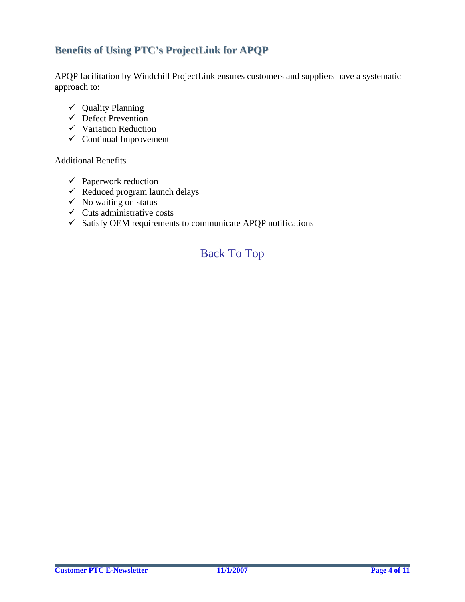## **Benefits of Using PTC's ProjectLink for APQP**

APQP facilitation by Windchill ProjectLink ensures customers and suppliers have a systematic approach to:

- $\checkmark$  Quality Planning
- $\checkmark$  Defect Prevention
- $\checkmark$  Variation Reduction
- $\checkmark$  Continual Improvement

Additional Benefits

- $\checkmark$  Paperwork reduction
- $\checkmark$  Reduced program launch delays
- $\checkmark$  No waiting on status
- $\checkmark$  Cuts administrative costs
- $\checkmark$  Satisfy OEM requirements to communicate APQP notifications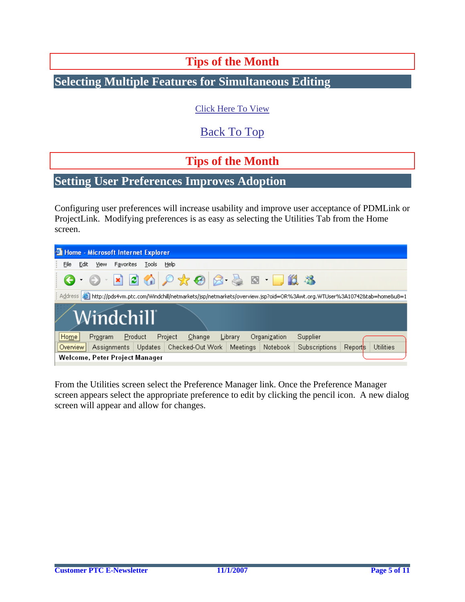# **Tips of the Month**

# <span id="page-4-0"></span>**Selecting Multiple Features for Simultaneous Editing**

[Click Here To View](http://members.shaw.ca/jpeng/newsletter/PTC_Technical_Specialists_E-Newsletter_11-01-2007_desktop.pdf)

[Back To Top](#page-0-0)

**Tips of the Month** 

## **Setting User Preferences Improves Adoption**

Configuring user preferences will increase usability and improve user acceptance of PDMLink or ProjectLink. Modifying preferences is as easy as selecting the Utilities Tab from the Home screen.

|                                                                                                                                 |      |         |           | <b>2 Home - Microsoft Internet Explorer</b> |         |                             |  |                 |              |               |         |                  |
|---------------------------------------------------------------------------------------------------------------------------------|------|---------|-----------|---------------------------------------------|---------|-----------------------------|--|-----------------|--------------|---------------|---------|------------------|
| File                                                                                                                            | Edit | View    | Favorites | Tools                                       | Help    |                             |  |                 |              |               |         |                  |
|                                                                                                                                 |      |         |           |                                             |         | 0 0 2 0 0 0 x 0 8 & 0 0 1 3 |  |                 |              |               |         |                  |
| Address   홈 http://pds4vm.ptc.com/Windchill/netmarkets/jsp/netmarkets/overview.jsp?oid=OR%3Awt.org.WTUser%3A10742&tab=home&u8=1 |      |         |           |                                             |         |                             |  |                 |              |               |         |                  |
|                                                                                                                                 |      |         |           | Windchill                                   |         |                             |  |                 |              |               |         |                  |
| Home                                                                                                                            |      | Program |           | Product                                     | Project | Change                      |  | Library         | Organization | Supplier      |         |                  |
| Overview <sup>1</sup>                                                                                                           |      |         |           | Assignments   Updates                       |         | Checked-Out Work            |  | <b>Meetings</b> | Notebook     | Subscriptions | Reports | <b>Utilities</b> |
| Welcome, Peter Project Manager                                                                                                  |      |         |           |                                             |         |                             |  |                 |              |               |         |                  |

From the Utilities screen select the Preference Manager link. Once the Preference Manager screen appears select the appropriate preference to edit by clicking the pencil icon. A new dialog screen will appear and allow for changes.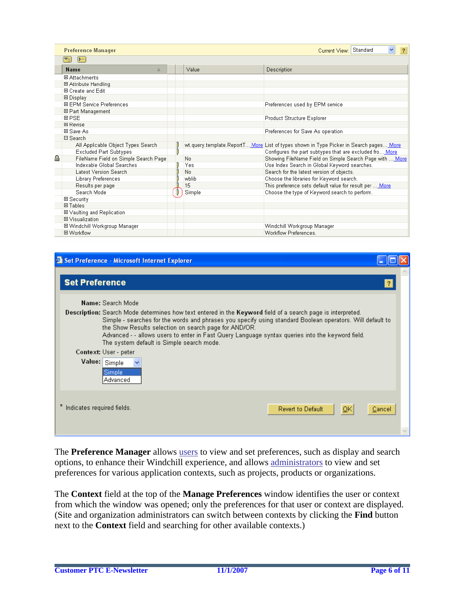|   | <b>Preference Manager</b>            |        | Current View: Standard<br>$\checkmark$<br>$\overline{?}$                                 |
|---|--------------------------------------|--------|------------------------------------------------------------------------------------------|
|   | $\triangleright$<br>[≂⊒]             |        |                                                                                          |
|   | <b>Name</b><br>$\triangleq$          | Value  | Description                                                                              |
|   | 田 Attachments                        |        |                                                                                          |
|   | 田 Attribute Handling                 |        |                                                                                          |
|   | 田 Create and Edit                    |        |                                                                                          |
|   | 田 Display                            |        |                                                                                          |
|   | 田 EPM Service Preferences            |        | Preferences used by EPM service                                                          |
|   | 田 Part Management                    |        |                                                                                          |
|   | 田 PSE                                |        | Product Structure Explorer                                                               |
|   | 田 Revise                             |        |                                                                                          |
|   | 田 Save As                            |        | Preferences for Save As operation                                                        |
|   | 日 Search                             |        |                                                                                          |
|   | All Applicable Object Types Search   |        | wt.query.template.ReportT… More List of types shown in Type Picker in Search pages… More |
|   | <b>Excluded Part Subtypes</b>        |        | Configures the part subtypes that are excluded fro More                                  |
| ≏ | FileName Field on Simple Search Page | No     | Showing FileName Field on Simple Search Page with  More                                  |
|   | Indexable Global Searches            | Yes    | Use Index Search in Global Keyword searches.                                             |
|   | Latest Version Search                | No     | Search for the latest version of objects.                                                |
|   | Library Preferences                  | wblib  | Choose the libraries for Keyword search.                                                 |
|   | Results per page                     | 15     | This preference sets default value for result per  More                                  |
|   | Search Mode                          | Simple | Choose the type of Keyword search to perform.                                            |
|   | 田 Security                           |        |                                                                                          |
|   | 田Tables                              |        |                                                                                          |
|   | <b>El Vaulting and Replication</b>   |        |                                                                                          |
|   | 田 Visualization                      |        |                                                                                          |
|   | 田 Windchill Workgroup Manager        |        | Windchill Workgroup Manager                                                              |
|   | 田 Workflow                           |        | Workflow Preferences.                                                                    |



The **Preference Manager** allows [users](http://pds4vm.ptc.com/Windchill/wt/helpfiles/help_en/online/prefmgr/PrefMgrUserPrefAbout.html) to view and set preferences, such as display and search options, to enhance their Windchill experience, and allows [administrators](http://pds4vm.ptc.com/Windchill/wt/helpfiles/help_en/online/prefmgr/PrefMgrContextPrefAbout.html) to view and set preferences for various application contexts, such as projects, products or organizations.

The **Context** field at the top of the **Manage Preferences** window identifies the user or context from which the window was opened; only the preferences for that user or context are displayed. (Site and organization administrators can switch between contexts by clicking the **Find** button next to the **Context** field and searching for other available contexts.)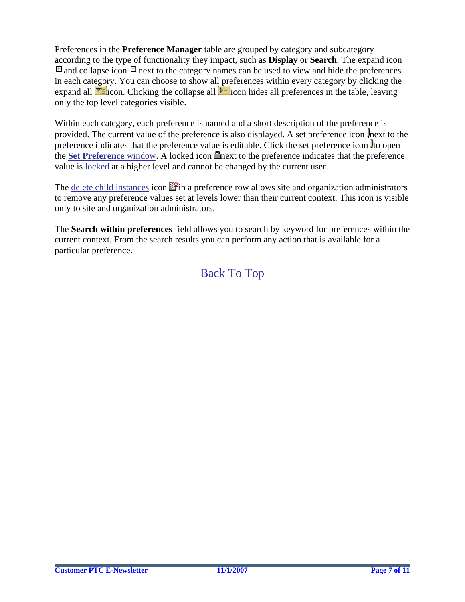Preferences in the **Preference Manager** table are grouped by category and subcategory according to the type of functionality they impact, such as **Display** or **Search**. The expand icon  $\Box$  and collapse icon  $\Box$  next to the category names can be used to view and hide the preferences in each category. You can choose to show all preferences within every category by clicking the expand all  $\overline{\mathbf{v}}$  icon. Clicking the collapse all  $\mathbf{v}$  icon hides all preferences in the table, leaving only the top level categories visible.

Within each category, each preference is named and a short description of the preference is provided. The current value of the preference is also displayed. A set preference icon next to the preference indicates that the preference value is editable. Click the set preference icon  $\frac{1}{2}$  to open the **[Set Preference](http://pds4vm.ptc.com/Windchill/wt/helpfiles/help_en/online/prefmgr/PrefMgrPrefEdit.html)** window. A locked icon **net is a set of the preference** indicates that the preference value is [locked](http://pds4vm.ptc.com/Windchill/wt/helpfiles/help_en/online/prefmgr/PrefMgrPrefLock.html) at a higher level and cannot be changed by the current user.

The [delete child instances](http://pds4vm.ptc.com/Windchill/wt/helpfiles/help_en/online/prefmgr/PrefMgmrChildInstanceDelete.html) icon  $\mathbb{F}$  in a preference row allows site and organization administrators to remove any preference values set at levels lower than their current context. This icon is visible only to site and organization administrators.

The **Search within preferences** field allows you to search by keyword for preferences within the current context. From the search results you can perform any action that is available for a particular preference.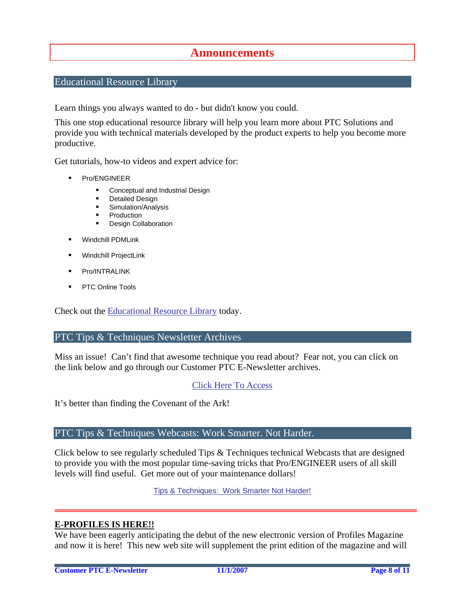## **Announcements**

### <span id="page-7-0"></span>Educational Resource Library

Learn things you always wanted to do - but didn't know you could.

This one stop educational resource library will help you learn more about PTC Solutions and provide you with technical materials developed by the product experts to help you become more productive.

Get tutorials, how-to videos and expert advice for:

- **Pro/ENGINEER** 
	- **EXECONCEPT** Conceptual and Industrial Design
	- **•** Detailed Design
	- **Simulation/Analysis**
	- Production
	- Design Collaboration
- Windchill PDMLink
- Windchill ProjectLink
- Pro/INTRALINK
- PTC Online Tools

Check out the [Educational Resource Library](http://www.ptc.com/community/proewf/newtools/tutorials.htm) today.

#### PTC Tips & Techniques Newsletter Archives

Miss an issue! Can't find that awesome technique you read about? Fear not, you can click on the link below and go through our Customer PTC E-Newsletter archives.

#### [Click Here To Access](http://www.ptc.com/carezone/archive/index.htm)

It's better than finding the Covenant of the Ark!

#### PTC Tips & Techniques Webcasts: Work Smarter. Not Harder.

Click below to see regularly scheduled Tips & Techniques technical Webcasts that are designed to provide you with the most popular time-saving tricks that Pro/ENGINEER users of all skill levels will find useful. Get more out of your maintenance dollars!

Tips & Techniques: Work Smarter Not Harder!

#### **E-PROFILES IS HERE!!**

We have been eagerly anticipating the debut of the new electronic version of Profiles Magazine and now it is here! This new web site will supplement the print edition of the magazine and will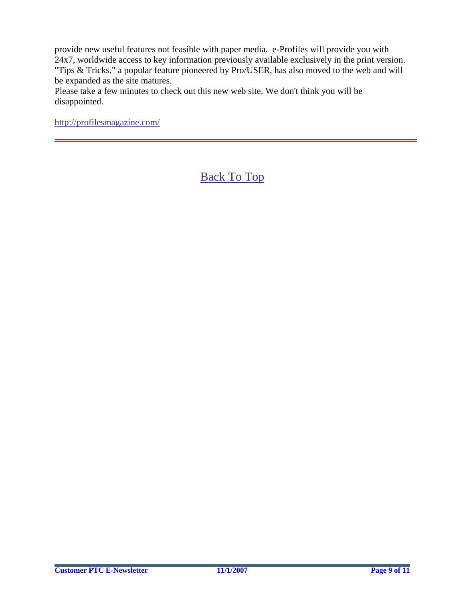provide new useful features not feasible with paper media. e-Profiles will provide you with 24x7, worldwide access to key information previously available exclusively in the print version. "Tips & Tricks," a popular feature pioneered by Pro/USER, has also moved to the web and will be expanded as the site matures.

Please take a few minutes to check out this new web site. We don't think you will be disappointed.

<http://profilesmagazine.com/>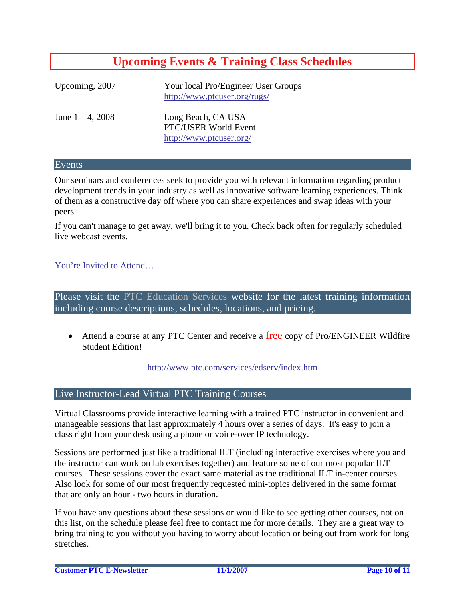## **Upcoming Events & Training Class Schedules**

<span id="page-9-0"></span>

| Upcoming, 2007      | Your local Pro/Engineer User Groups<br>http://www.ptcuser.org/rugs/   |
|---------------------|-----------------------------------------------------------------------|
| June $1 - 4$ , 2008 | Long Beach, CA USA<br>PTC/USER World Event<br>http://www.ptcuser.org/ |

#### Events

Our seminars and conferences seek to provide you with relevant information regarding product development trends in your industry as well as innovative software learning experiences. Think of them as a constructive day off where you can share experiences and swap ideas with your peers.

If you can't manage to get away, we'll bring it to you. Check back often for regularly scheduled live webcast events.

### [You're Invited to Attend…](http://www.ptc.com/company/news/events/index.htm)

Please visit the [PTC Education Services](http://www.ptc.com/services/edserv/) website for the latest training information including course descriptions, schedules, locations, and pricing.

• Attend a course at any PTC Center and receive a free copy of Pro/ENGINEER Wildfire Student Edition!

<http://www.ptc.com/services/edserv/index.htm>

#### Live Instructor-Lead Virtual PTC Training Courses

Virtual Classrooms provide interactive learning with a trained PTC instructor in convenient and manageable sessions that last approximately 4 hours over a series of days. It's easy to join a class right from your desk using a phone or voice-over IP technology.

Sessions are performed just like a traditional ILT (including interactive exercises where you and the instructor can work on lab exercises together) and feature some of our most popular ILT courses. These sessions cover the exact same material as the traditional ILT in-center courses. Also look for some of our most frequently requested mini-topics delivered in the same format that are only an hour - two hours in duration.

If you have any questions about these sessions or would like to see getting other courses, not on this list, on the schedule please feel free to contact me for more details. They are a great way to bring training to you without you having to worry about location or being out from work for long stretches.